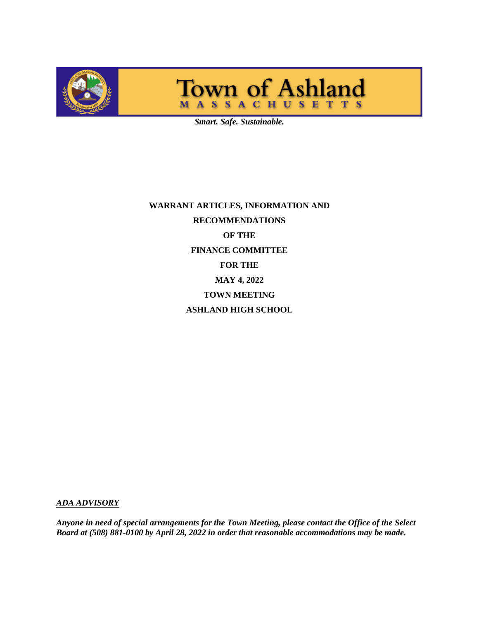

# Town of Ashland

*Smart. Safe. Sustainable.*

**WARRANT ARTICLES, INFORMATION AND RECOMMENDATIONS OF THE FINANCE COMMITTEE FOR THE MAY 4, 2022 TOWN MEETING ASHLAND HIGH SCHOOL**

*ADA ADVISORY*

*Anyone in need of special arrangements for the Town Meeting, please contact the Office of the Select Board at (508) 881-0100 by April 28, 2022 in order that reasonable accommodations may be made.*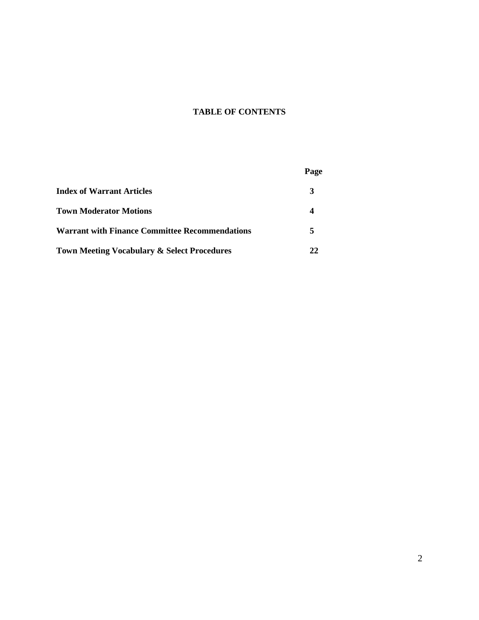# **TABLE OF CONTENTS**

|                                                        | Page |
|--------------------------------------------------------|------|
| Index of Warrant Articles                              | 3    |
| <b>Town Moderator Motions</b>                          |      |
| <b>Warrant with Finance Committee Recommendations</b>  |      |
| <b>Town Meeting Vocabulary &amp; Select Procedures</b> |      |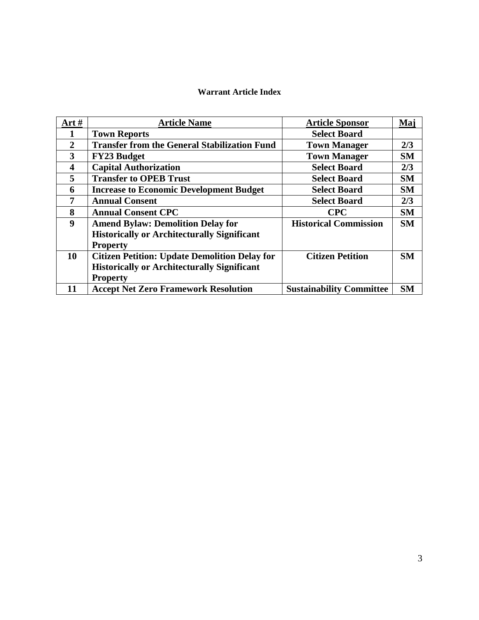# **Warrant Article Index**

| Art $#$                 | <b>Article Name</b>                                  | <b>Article Sponsor</b>          | Maj       |
|-------------------------|------------------------------------------------------|---------------------------------|-----------|
|                         | <b>Town Reports</b>                                  | <b>Select Board</b>             |           |
| $\overline{2}$          | <b>Transfer from the General Stabilization Fund</b>  | <b>Town Manager</b>             | 2/3       |
| 3                       | <b>FY23 Budget</b>                                   | <b>Town Manager</b>             | <b>SM</b> |
| $\overline{\mathbf{4}}$ | <b>Capital Authorization</b>                         | <b>Select Board</b>             | 2/3       |
| 5                       | <b>Transfer to OPEB Trust</b>                        | <b>Select Board</b>             | <b>SM</b> |
| 6                       | <b>Increase to Economic Development Budget</b>       | <b>Select Board</b>             | <b>SM</b> |
| 7                       | <b>Annual Consent</b>                                | <b>Select Board</b>             | 2/3       |
| 8                       | <b>Annual Consent CPC</b>                            | <b>CPC</b>                      | <b>SM</b> |
| 9                       | <b>Amend Bylaw: Demolition Delay for</b>             | <b>Historical Commission</b>    | <b>SM</b> |
|                         | <b>Historically or Architecturally Significant</b>   |                                 |           |
|                         | <b>Property</b>                                      |                                 |           |
| 10                      | <b>Citizen Petition: Update Demolition Delay for</b> | <b>Citizen Petition</b>         | <b>SM</b> |
|                         | <b>Historically or Architecturally Significant</b>   |                                 |           |
|                         | <b>Property</b>                                      |                                 |           |
| 11                      | <b>Accept Net Zero Framework Resolution</b>          | <b>Sustainability Committee</b> | <b>SM</b> |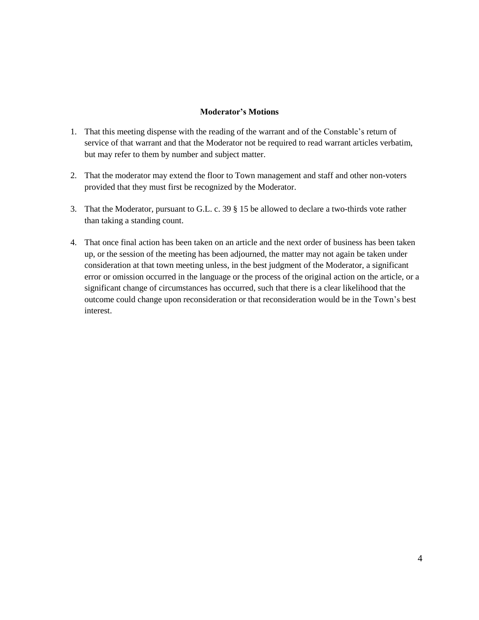# **Moderator's Motions**

- 1. That this meeting dispense with the reading of the warrant and of the Constable's return of service of that warrant and that the Moderator not be required to read warrant articles verbatim, but may refer to them by number and subject matter.
- 2. That the moderator may extend the floor to Town management and staff and other non-voters provided that they must first be recognized by the Moderator.
- 3. That the Moderator, pursuant to G.L. c. 39 § 15 be allowed to declare a two-thirds vote rather than taking a standing count.
- 4. That once final action has been taken on an article and the next order of business has been taken up, or the session of the meeting has been adjourned, the matter may not again be taken under consideration at that town meeting unless, in the best judgment of the Moderator, a significant error or omission occurred in the language or the process of the original action on the article, or a significant change of circumstances has occurred, such that there is a clear likelihood that the outcome could change upon reconsideration or that reconsideration would be in the Town's best interest.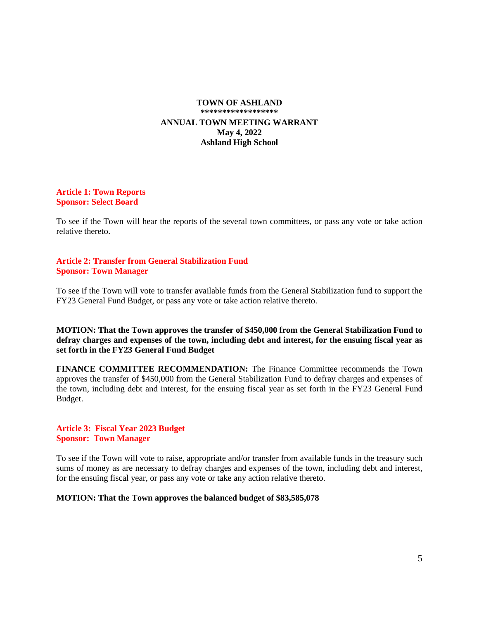# **TOWN OF ASHLAND \*\*\*\*\*\*\*\*\*\*\*\*\*\*\*\*\*\* ANNUAL TOWN MEETING WARRANT May 4, 2022 Ashland High School**

#### **Article 1: Town Reports Sponsor: Select Board**

To see if the Town will hear the reports of the several town committees, or pass any vote or take action relative thereto.

#### **Article 2: Transfer from General Stabilization Fund Sponsor: Town Manager**

To see if the Town will vote to transfer available funds from the General Stabilization fund to support the FY23 General Fund Budget, or pass any vote or take action relative thereto.

**MOTION: That the Town approves the transfer of \$450,000 from the General Stabilization Fund to defray charges and expenses of the town, including debt and interest, for the ensuing fiscal year as set forth in the FY23 General Fund Budget**

**FINANCE COMMITTEE RECOMMENDATION:** The Finance Committee recommends the Town approves the transfer of \$450,000 from the General Stabilization Fund to defray charges and expenses of the town, including debt and interest, for the ensuing fiscal year as set forth in the FY23 General Fund Budget.

**Article 3: Fiscal Year 2023 Budget Sponsor: Town Manager**

To see if the Town will vote to raise, appropriate and/or transfer from available funds in the treasury such sums of money as are necessary to defray charges and expenses of the town, including debt and interest, for the ensuing fiscal year, or pass any vote or take any action relative thereto.

#### **MOTION: That the Town approves the balanced budget of \$83,585,078**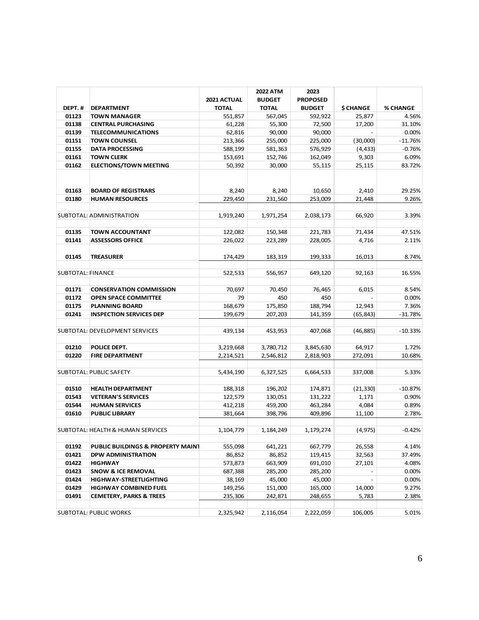|                          |                                              | 2021 ACTUAL  | <b>2022 ATM</b><br><b>BUDGET</b> | 2023<br><b>PROPOSED</b> |           |           |
|--------------------------|----------------------------------------------|--------------|----------------------------------|-------------------------|-----------|-----------|
| DEPT.#                   | <b>DEPARTMENT</b>                            | <b>TOTAL</b> | <b>TOTAL</b>                     | <b>BUDGET</b>           | \$ CHANGE | % CHANGE  |
| 01123                    | <b>TOWN MANAGER</b>                          | 551,857      | 567,045                          | 592,922                 | 25,877    | 4.56%     |
| 01138                    | <b>CENTRAL PURCHASING</b>                    | 61,228       | 55,300                           | 72,500                  | 17,200    | 31.10%    |
| 01139                    | <b>TELECOMMUNICATIONS</b>                    | 62,816       | 90,000                           | 90,000                  |           | 0.00%     |
| 01151                    | <b>TOWN COUNSEL</b>                          | 213,366      | 255,000                          | 225,000                 | (30,000)  | $-11.76%$ |
| 01155                    | <b>DATA PROCESSING</b>                       | 588,199      | 581,363                          | 576,929                 | (4, 433)  | $-0.76%$  |
| 01161                    | <b>TOWN CLERK</b>                            | 153,691      | 152,746                          | 162,049                 | 9,303     | 6.09%     |
| 01162                    | <b>ELECTIONS/TOWN MEETING</b>                | 50,392       | 30,000                           | 55,115                  | 25,115    | 83.72%    |
| 01163                    | <b>BOARD OF REGISTRARS</b>                   | 8,240        | 8,240                            | 10,650                  | 2.410     | 29.25%    |
| 01180                    | <b>HUMAN RESOURCES</b>                       | 229.450      | 231,560                          | 253,009                 | 21,448    | 9.26%     |
|                          |                                              |              |                                  |                         |           |           |
|                          | SUBTOTAL: ADMINISTRATION                     | 1,919,240    | 1,971,254                        | 2,038,173               | 66,920    | 3.39%     |
| 01135                    | <b>TOWN ACCOUNTANT</b>                       | 122,082      | 150,348                          | 221,783                 | 71,434    | 47.51%    |
| 01141                    | <b>ASSESSORS OFFICE</b>                      | 226,022      | 223,289                          | 228,005                 | 4,716     | 2.11%     |
| 01145                    | <b>TREASURER</b>                             | 174,429      | 183,319                          | 199,333                 | 16,013    | 8.74%     |
|                          |                                              |              |                                  |                         |           |           |
| <b>SUBTOTAL: FINANCE</b> |                                              | 522,533      | 556,957                          | 649,120                 | 92,163    | 16.55%    |
| 01171                    | <b>CONSERVATION COMMISSION</b>               | 70,697       | 70,450                           | 76,465                  | 6,015     | 8.54%     |
| 01172                    | <b>OPEN SPACE COMMITTEE</b>                  | 79           | 450                              | 450                     |           | 0.00%     |
| 01175                    | <b>PLANNING BOARD</b>                        | 168,679      | 175,850                          | 188,794                 | 12,943    | 7.36%     |
| 01241                    | <b>INSPECTION SERVICES DEP</b>               | 199,679      | 207,203                          | 141,359                 | (65, 843) | $-31.78%$ |
|                          | SUBTOTAL: DEVELOPMENT SERVICES               | 439,134      | 453,953                          | 407,068                 | (46, 885) | $-10.33%$ |
| 01210                    | POLICE DEPT.                                 | 3,219,668    | 3,780,712                        | 3,845,630               | 64,917    | 1.72%     |
| 01220                    | <b>FIRE DEPARTMENT</b>                       | 2,214,521    | 2,546,812                        | 2,818,903               | 272,091   | 10.68%    |
|                          |                                              |              |                                  |                         |           |           |
|                          | <b>SUBTOTAL: PUBLIC SAFETY</b>               | 5,434,190    | 6,327,525                        | 6,664,533               | 337,008   | 5.33%     |
| 01510                    | <b>HEALTH DEPARTMENT</b>                     | 188,318      | 196,202                          | 174,871                 | (21, 330) | $-10.87%$ |
| 01543                    | <b>VETERAN'S SERVICES</b>                    | 122,579      | 130,051                          | 131,222                 | 1,171     | 0.90%     |
| 01544                    | <b>HUMAN SERVICES</b>                        | 412,218      | 459,200                          | 463,284                 | 4,084     | 0.89%     |
| 01610                    | <b>PUBLIC LIBRARY</b>                        | 381,664      | 398,796                          | 409,896                 | 11,100    | 2.78%     |
|                          |                                              |              |                                  |                         |           |           |
|                          | SUBTOTAL: HEALTH & HUMAN SERVICES            | 1,104,779    | 1,184,249                        | 1,179,274               | (4, 975)  | $-0.42%$  |
| 01192                    | <b>PUBLIC BUILDINGS &amp; PROPERTY MAINT</b> | 555,098      | 641,221                          | 667,779                 | 26,558    | 4.14%     |
| 01421                    | <b>DPW ADMINISTRATION</b>                    | 86,852       | 86,852                           | 119,415                 | 32,563    | 37.49%    |
| 01422                    | <b>HIGHWAY</b>                               | 573,873      | 663,909                          | 691,010                 | 27,101    | 4.08%     |
| 01423                    | <b>SNOW &amp; ICE REMOVAL</b>                | 687,388      | 285,200                          | 285,200                 |           | 0.00%     |
| 01424                    | <b>HIGHWAY-STREETLIGHTING</b>                | 38,169       | 45,000                           | 45,000                  |           | 0.00%     |
| 01429                    | <b>HIGHWAY COMBINED FUEL</b>                 | 149,256      | 151,000                          | 165,000                 | 14,000    | 9.27%     |
| 01491                    | <b>CEMETERY, PARKS &amp; TREES</b>           | 235,306      | 242,871                          | 248,655                 | 5,783     | 2.38%     |
|                          |                                              |              |                                  |                         |           |           |
|                          | <b>SUBTOTAL: PUBLIC WORKS</b>                | 2,325,942    | 2,116,054                        | 2,222,059               | 106,005   | 5.01%     |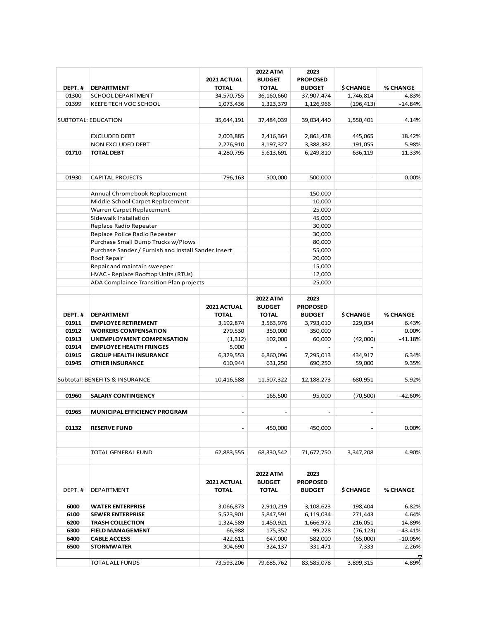| DEPT.# | <b>DEPARTMENT</b>                                   | 2021 ACTUAL<br><b>TOTAL</b> | <b>2022 ATM</b><br><b>BUDGET</b><br><b>TOTAL</b> | 2023<br><b>PROPOSED</b><br><b>BUDGET</b> | \$ CHANGE        | % CHANGE  |
|--------|-----------------------------------------------------|-----------------------------|--------------------------------------------------|------------------------------------------|------------------|-----------|
| 01300  | <b>SCHOOL DEPARTMENT</b>                            | 34,570,755                  | 36,160,660                                       | 37,907,474                               | 1,746,814        | 4.83%     |
| 01399  | <b>KEEFE TECH VOC SCHOOL</b>                        | 1,073,436                   | 1,323,379                                        | 1,126,966                                | (196, 413)       | $-14.84%$ |
|        |                                                     |                             |                                                  |                                          |                  |           |
|        | SUBTOTAL: EDUCATION                                 | 35,644,191                  | 37,484,039                                       | 39,034,440                               | 1,550,401        | 4.14%     |
|        | <b>EXCLUDED DEBT</b>                                | 2,003,885                   | 2,416,364                                        | 2,861,428                                | 445,065          | 18.42%    |
|        | NON EXCLUDED DEBT                                   | 2,276,910                   | 3,197,327                                        | 3,388,382                                | 191,055          | 5.98%     |
| 01710  | <b>TOTAL DEBT</b>                                   | 4,280,795                   | 5,613,691                                        | 6,249,810                                | 636,119          | 11.33%    |
|        |                                                     |                             |                                                  |                                          |                  |           |
| 01930  | <b>CAPITAL PROJECTS</b>                             | 796,163                     | 500,000                                          | 500,000                                  |                  | 0.00%     |
|        | Annual Chromebook Replacement                       |                             |                                                  | 150,000                                  |                  |           |
|        | Middle School Carpet Replacement                    |                             |                                                  | 10,000                                   |                  |           |
|        | Warren Carpet Replacement                           |                             |                                                  | 25,000                                   |                  |           |
|        | Sidewalk Installation                               |                             |                                                  | 45,000                                   |                  |           |
|        | Replace Radio Repeater                              |                             |                                                  | 30,000                                   |                  |           |
|        | Replace Police Radio Repeater                       |                             |                                                  | 30,000                                   |                  |           |
|        | Purchase Small Dump Trucks w/Plows                  |                             |                                                  | 80,000                                   |                  |           |
|        | Purchase Sander / Furnish and Install Sander Insert |                             |                                                  | 55,000                                   |                  |           |
|        | Roof Repair                                         |                             |                                                  | 20,000                                   |                  |           |
|        | Repair and maintain sweeper                         |                             |                                                  | 15,000                                   |                  |           |
|        | HVAC - Replace Rooftop Units (RTUs)                 |                             |                                                  | 12,000                                   |                  |           |
|        | ADA Complaince Transition Plan projects             |                             |                                                  | 25,000                                   |                  |           |
| DEPT.# | <b>DEPARTMENT</b>                                   | 2021 ACTUAL<br><b>TOTAL</b> | <b>2022 ATM</b><br><b>BUDGET</b><br><b>TOTAL</b> | 2023<br><b>PROPOSED</b><br><b>BUDGET</b> | \$ CHANGE        | % CHANGE  |
| 01911  | <b>EMPLOYEE RETIREMENT</b>                          | 3,192,874                   | 3,563,976                                        | 3,793,010                                | 229,034          | 6.43%     |
| 01912  | <b>WORKERS COMPENSATION</b>                         | 279,530                     | 350,000                                          | 350,000                                  |                  | 0.00%     |
| 01913  | UNEMPLOYMENT COMPENSATION                           | (1, 312)                    | 102,000                                          | 60,000                                   | (42,000)         | $-41.18%$ |
| 01914  | <b>EMPLOYEE HEALTH FRINGES</b>                      | 5,000                       | $\sim$                                           |                                          |                  |           |
| 01915  | <b>GROUP HEALTH INSURANCE</b>                       | 6,329,553                   | 6,860,096                                        | 7,295,013                                | 434,917          | 6.34%     |
| 01945  | <b>OTHER INSURANCE</b>                              | 610,944                     | 631,250                                          | 690,250                                  | 59,000           | 9.35%     |
|        | Subtotal: BENEFITS & INSURANCE                      | 10,416,588                  | 11,507,322                                       | 12,188,273                               | 680,951          | 5.92%     |
| 01960  | <b>SALARY CONTINGENCY</b>                           | $\overline{\phantom{a}}$    | 165,500                                          | 95,000                                   | (70, 500)        | $-42.60%$ |
| 01965  | <b>MUNICIPAL EFFICIENCY PROGRAM</b>                 | $\sim$                      | ä,                                               |                                          | L,               |           |
|        |                                                     |                             |                                                  |                                          |                  |           |
| 01132  | <b>RESERVE FUND</b>                                 | $\sim$                      | 450,000                                          | 450,000                                  | ä,               | 0.00%     |
|        | TOTAL GENERAL FUND                                  | 62,883,555                  | 68,330,542                                       | 71,677,750                               | 3,347,208        | 4.90%     |
|        |                                                     |                             |                                                  |                                          |                  |           |
| DEPT.# | DEPARTMENT                                          | 2021 ACTUAL<br><b>TOTAL</b> | <b>2022 ATM</b><br><b>BUDGET</b><br><b>TOTAL</b> | 2023<br><b>PROPOSED</b><br><b>BUDGET</b> | <b>\$ CHANGE</b> | % CHANGE  |
|        |                                                     |                             |                                                  |                                          |                  |           |
| 6000   | <b>WATER ENTERPRISE</b>                             | 3,066,873                   | 2,910,219                                        | 3,108,623                                | 198,404          | 6.82%     |
| 6100   | <b>SEWER ENTERPRISE</b>                             | 5,523,901                   | 5,847,591                                        | 6,119,034                                | 271,443          | 4.64%     |
| 6200   | <b>TRASH COLLECTION</b>                             | 1,324,589                   | 1,450,921                                        | 1,666,972                                | 216,051          | 14.89%    |
| 6300   | <b>FIELD MANAGEMENT</b>                             | 66,988                      | 175,352                                          | 99,228                                   | (76, 123)        | -43.41%   |
| 6400   | <b>CABLE ACCESS</b>                                 | 422,611                     | 647,000                                          | 582,000                                  | (65,000)         | $-10.05%$ |
| 6500   | <b>STORMWATER</b>                                   | 304,690                     | 324,137                                          | 331,471                                  | 7,333            | 2.26%     |
|        | <b>TOTAL ALL FUNDS</b>                              | 73,593,206                  | 79,685,762                                       | 83,585,078                               | 3,899,315        | 4.89%     |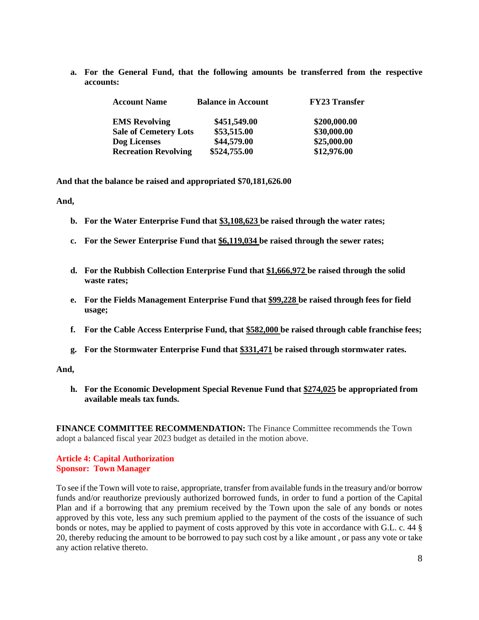**a. For the General Fund, that the following amounts be transferred from the respective accounts:**

| <b>Account Name</b>          | <b>Balance in Account</b> | <b>FY23 Transfer</b> |
|------------------------------|---------------------------|----------------------|
| <b>EMS</b> Revolving         | \$451,549.00              | \$200,000.00         |
| <b>Sale of Cemetery Lots</b> | \$53,515.00               | \$30,000.00          |
| Dog Licenses                 | \$44,579.00               | \$25,000.00          |
| <b>Recreation Revolving</b>  | \$524,755.00              | \$12,976.00          |

**And that the balance be raised and appropriated \$70,181,626.00**

**And,**

- **b. For the Water Enterprise Fund that \$3,108,623 be raised through the water rates;**
- **c. For the Sewer Enterprise Fund that \$6,119,034 be raised through the sewer rates;**
- **d. For the Rubbish Collection Enterprise Fund that \$1,666,972 be raised through the solid waste rates;**
- **e. For the Fields Management Enterprise Fund that \$99,228 be raised through fees for field usage;**
- **f. For the Cable Access Enterprise Fund, that \$582,000 be raised through cable franchise fees;**
- **g. For the Stormwater Enterprise Fund that \$331,471 be raised through stormwater rates.**

#### **And,**

**h. For the Economic Development Special Revenue Fund that \$274,025 be appropriated from available meals tax funds.**

**FINANCE COMMITTEE RECOMMENDATION:** The Finance Committee recommends the Town adopt a balanced fiscal year 2023 budget as detailed in the motion above.

# **Article 4: Capital Authorization Sponsor: Town Manager**

To see if the Town will vote to raise, appropriate, transfer from available fundsin the treasury and/or borrow funds and/or reauthorize previously authorized borrowed funds, in order to fund a portion of the Capital Plan and if a borrowing that any premium received by the Town upon the sale of any bonds or notes approved by this vote, less any such premium applied to the payment of the costs of the issuance of such bonds or notes, may be applied to payment of costs approved by this vote in accordance with G.L. c. 44 § 20, thereby reducing the amount to be borrowed to pay such cost by a like amount , or pass any vote or take any action relative thereto.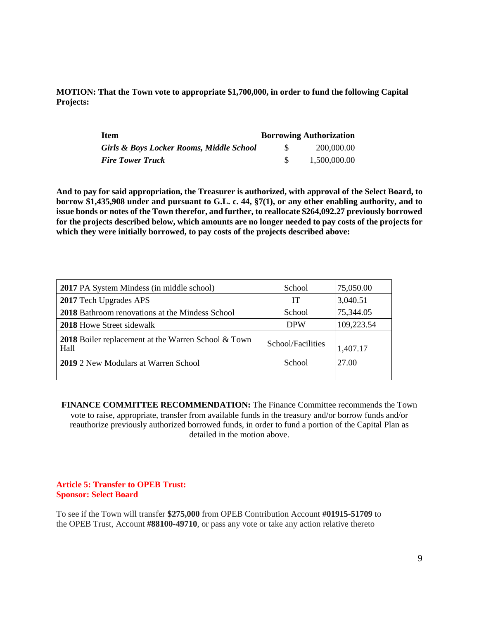**MOTION: That the Town vote to appropriate \$1,700,000, in order to fund the following Capital Projects:**

| <b>Item</b>                              | <b>Borrowing Authorization</b> |
|------------------------------------------|--------------------------------|
| Girls & Boys Locker Rooms, Middle School | 200,000.00                     |
| <b>Fire Tower Truck</b>                  | 1,500,000.00                   |

**And to pay for said appropriation, the Treasurer is authorized, with approval of the Select Board, to borrow \$1,435,908 under and pursuant to G.L. c. 44, §7(1), or any other enabling authority, and to issue bonds or notes of the Town therefor, and further, to reallocate \$264,092.27 previously borrowed** for the projects described below, which amounts are no longer needed to pay costs of the projects for **which they were initially borrowed, to pay costs of the projects described above:**

| <b>2017</b> PA System Mindess (in middle school)                   | School            | 75,050.00  |
|--------------------------------------------------------------------|-------------------|------------|
| 2017 Tech Upgrades APS                                             | IT                | 3,040.51   |
| 2018 Bathroom renovations at the Mindess School                    | School            | 75,344.05  |
| <b>2018</b> Howe Street sidewalk                                   | <b>DPW</b>        | 109,223.54 |
| <b>2018</b> Boiler replacement at the Warren School & Town<br>Hall | School/Facilities | 1,407.17   |
| 2019 2 New Modulars at Warren School                               | School            | 27.00      |

**FINANCE COMMITTEE RECOMMENDATION:** The Finance Committee recommends the Town vote to raise, appropriate, transfer from available funds in the treasury and/or borrow funds and/or reauthorize previously authorized borrowed funds, in order to fund a portion of the Capital Plan as detailed in the motion above.

# **Article 5: Transfer to OPEB Trust: Sponsor: Select Board**

To see if the Town will transfer **\$275,000** from OPEB Contribution Account **#01915-51709** to the OPEB Trust, Account **#88100-49710**, or pass any vote or take any action relative thereto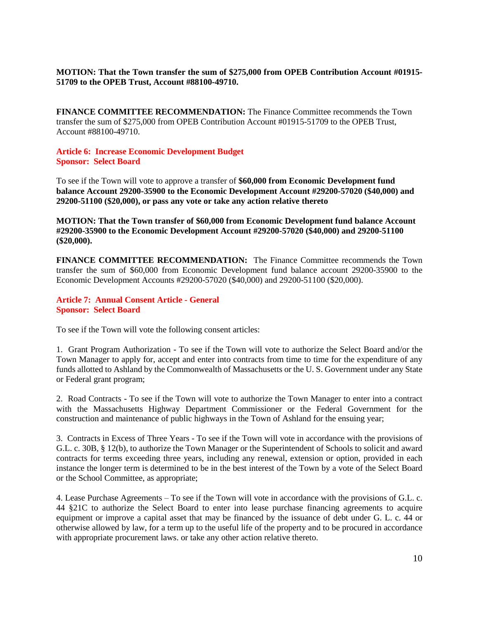# **MOTION: That the Town transfer the sum of \$275,000 from OPEB Contribution Account #01915- 51709 to the OPEB Trust, Account #88100-49710.**

**FINANCE COMMITTEE RECOMMENDATION:** The Finance Committee recommends the Town transfer the sum of \$275,000 from OPEB Contribution Account #01915-51709 to the OPEB Trust, Account #88100-49710.

# **Article 6: Increase Economic Development Budget Sponsor: Select Board**

To see if the Town will vote to approve a transfer of **\$60,000 from Economic Development fund balance Account 29200-35900 to the Economic Development Account #29200-57020 (\$40,000) and 29200-51100 (\$20,000), or pass any vote or take any action relative thereto**

**MOTION: That the Town transfer of \$60,000 from Economic Development fund balance Account #29200-35900 to the Economic Development Account #29200-57020 (\$40,000) and 29200-51100 (\$20,000).**

**FINANCE COMMITTEE RECOMMENDATION:** The Finance Committee recommends the Town transfer the sum of \$60,000 from Economic Development fund balance account 29200-35900 to the Economic Development Accounts #29200-57020 (\$40,000) and 29200-51100 (\$20,000).

**Article 7: Annual Consent Article - General Sponsor: Select Board**

To see if the Town will vote the following consent articles:

1. Grant Program Authorization - To see if the Town will vote to authorize the Select Board and/or the Town Manager to apply for, accept and enter into contracts from time to time for the expenditure of any funds allotted to Ashland by the Commonwealth of Massachusetts or the U. S. Government under any State or Federal grant program;

2. Road Contracts - To see if the Town will vote to authorize the Town Manager to enter into a contract with the Massachusetts Highway Department Commissioner or the Federal Government for the construction and maintenance of public highways in the Town of Ashland for the ensuing year;

3. Contracts in Excess of Three Years - To see if the Town will vote in accordance with the provisions of G.L. c. 30B, § 12(b), to authorize the Town Manager or the Superintendent of Schools to solicit and award contracts for terms exceeding three years, including any renewal, extension or option, provided in each instance the longer term is determined to be in the best interest of the Town by a vote of the Select Board or the School Committee, as appropriate;

4. Lease Purchase Agreements – To see if the Town will vote in accordance with the provisions of G.L. c. 44 §21C to authorize the Select Board to enter into lease purchase financing agreements to acquire equipment or improve a capital asset that may be financed by the issuance of debt under G. L. c. 44 or otherwise allowed by law, for a term up to the useful life of the property and to be procured in accordance with appropriate procurement laws. or take any other action relative thereto.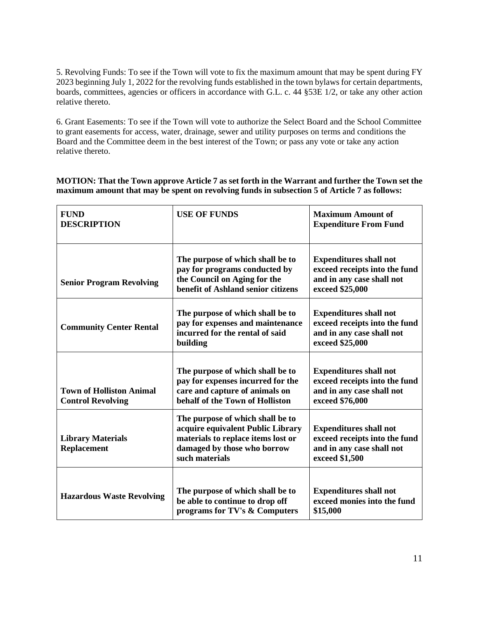5. Revolving Funds: To see if the Town will vote to fix the maximum amount that may be spent during FY 2023 beginning July 1, 2022 for the revolving funds established in the town bylaws for certain departments, boards, committees, agencies or officers in accordance with G.L. c. 44 §53E 1/2, or take any other action relative thereto.

6. Grant Easements: To see if the Town will vote to authorize the Select Board and the School Committee to grant easements for access, water, drainage, sewer and utility purposes on terms and conditions the Board and the Committee deem in the best interest of the Town; or pass any vote or take any action relative thereto.

| MOTION: That the Town approve Article 7 as set forth in the Warrant and further the Town set the |
|--------------------------------------------------------------------------------------------------|
| maximum amount that may be spent on revolving funds in subsection 5 of Article 7 as follows:     |

| <b>FUND</b><br><b>DESCRIPTION</b>                           | <b>USE OF FUNDS</b>                                                                                                                                          | <b>Maximum Amount of</b><br><b>Expenditure From Fund</b>                                                       |
|-------------------------------------------------------------|--------------------------------------------------------------------------------------------------------------------------------------------------------------|----------------------------------------------------------------------------------------------------------------|
| <b>Senior Program Revolving</b>                             | The purpose of which shall be to<br>pay for programs conducted by<br>the Council on Aging for the<br>benefit of Ashland senior citizens                      | <b>Expenditures shall not</b><br>exceed receipts into the fund<br>and in any case shall not<br>exceed \$25,000 |
| <b>Community Center Rental</b>                              | The purpose of which shall be to<br>pay for expenses and maintenance<br>incurred for the rental of said<br>building                                          | <b>Expenditures shall not</b><br>exceed receipts into the fund<br>and in any case shall not<br>exceed \$25,000 |
| <b>Town of Holliston Animal</b><br><b>Control Revolving</b> | The purpose of which shall be to<br>pay for expenses incurred for the<br>care and capture of animals on<br>behalf of the Town of Holliston                   | <b>Expenditures shall not</b><br>exceed receipts into the fund<br>and in any case shall not<br>exceed \$76,000 |
| <b>Library Materials</b><br><b>Replacement</b>              | The purpose of which shall be to<br>acquire equivalent Public Library<br>materials to replace items lost or<br>damaged by those who borrow<br>such materials | <b>Expenditures shall not</b><br>exceed receipts into the fund<br>and in any case shall not<br>exceed \$1,500  |
| <b>Hazardous Waste Revolving</b>                            | The purpose of which shall be to<br>be able to continue to drop off<br>programs for TV's & Computers                                                         | <b>Expenditures shall not</b><br>exceed monies into the fund<br>\$15,000                                       |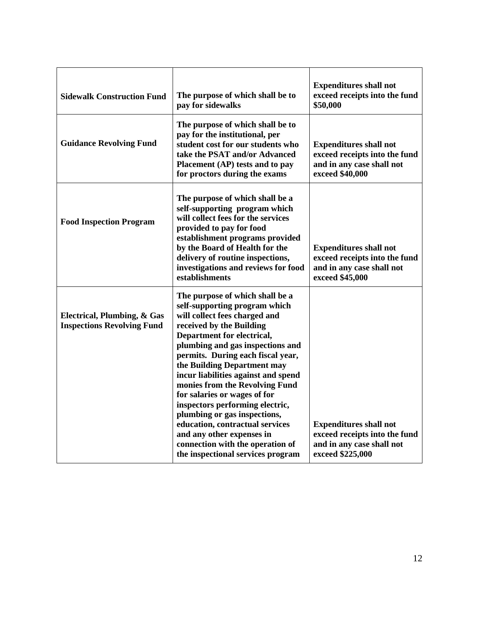| <b>Sidewalk Construction Fund</b>                                | The purpose of which shall be to<br>pay for sidewalks                                                                                                                                                                                                                                                                                                                                                                                                                                                                                                                                    | <b>Expenditures shall not</b><br>exceed receipts into the fund<br>\$50,000                                      |
|------------------------------------------------------------------|------------------------------------------------------------------------------------------------------------------------------------------------------------------------------------------------------------------------------------------------------------------------------------------------------------------------------------------------------------------------------------------------------------------------------------------------------------------------------------------------------------------------------------------------------------------------------------------|-----------------------------------------------------------------------------------------------------------------|
| <b>Guidance Revolving Fund</b>                                   | The purpose of which shall be to<br>pay for the institutional, per<br>student cost for our students who<br>take the PSAT and/or Advanced<br>Placement (AP) tests and to pay<br>for proctors during the exams                                                                                                                                                                                                                                                                                                                                                                             | <b>Expenditures shall not</b><br>exceed receipts into the fund<br>and in any case shall not<br>exceed \$40,000  |
| <b>Food Inspection Program</b>                                   | The purpose of which shall be a<br>self-supporting program which<br>will collect fees for the services<br>provided to pay for food<br>establishment programs provided<br>by the Board of Health for the<br>delivery of routine inspections,<br>investigations and reviews for food<br>establishments                                                                                                                                                                                                                                                                                     | <b>Expenditures shall not</b><br>exceed receipts into the fund<br>and in any case shall not<br>exceed \$45,000  |
| Electrical, Plumbing, & Gas<br><b>Inspections Revolving Fund</b> | The purpose of which shall be a<br>self-supporting program which<br>will collect fees charged and<br>received by the Building<br>Department for electrical,<br>plumbing and gas inspections and<br>permits. During each fiscal year,<br>the Building Department may<br>incur liabilities against and spend<br>monies from the Revolving Fund<br>for salaries or wages of for<br>inspectors performing electric,<br>plumbing or gas inspections,<br>education, contractual services<br>and any other expenses in<br>connection with the operation of<br>the inspectional services program | <b>Expenditures shall not</b><br>exceed receipts into the fund<br>and in any case shall not<br>exceed \$225,000 |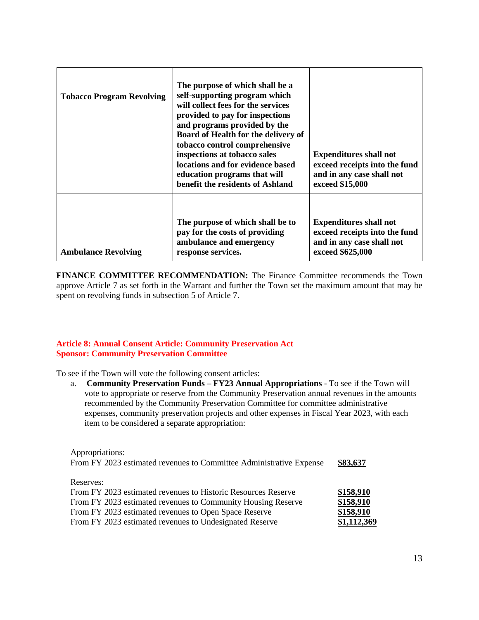| <b>Tobacco Program Revolving</b> | The purpose of which shall be a<br>self-supporting program which<br>will collect fees for the services<br>provided to pay for inspections<br>and programs provided by the<br>Board of Health for the delivery of<br>tobacco control comprehensive<br>inspections at tobacco sales<br>locations and for evidence based<br>education programs that will<br>benefit the residents of Ashland | <b>Expenditures shall not</b><br>exceed receipts into the fund<br>and in any case shall not<br>exceed \$15,000  |
|----------------------------------|-------------------------------------------------------------------------------------------------------------------------------------------------------------------------------------------------------------------------------------------------------------------------------------------------------------------------------------------------------------------------------------------|-----------------------------------------------------------------------------------------------------------------|
| <b>Ambulance Revolving</b>       | The purpose of which shall be to<br>pay for the costs of providing<br>ambulance and emergency<br>response services.                                                                                                                                                                                                                                                                       | <b>Expenditures shall not</b><br>exceed receipts into the fund<br>and in any case shall not<br>exceed \$625,000 |

**FINANCE COMMITTEE RECOMMENDATION:** The Finance Committee recommends the Town approve Article 7 as set forth in the Warrant and further the Town set the maximum amount that may be spent on revolving funds in subsection 5 of Article 7.

# **Article 8: Annual Consent Article: Community Preservation Act Sponsor: Community Preservation Committee**

To see if the Town will vote the following consent articles:

a. **Community Preservation Funds – FY23 Annual Appropriations** - To see if the Town will vote to appropriate or reserve from the Community Preservation annual revenues in the amounts recommended by the Community Preservation Committee for committee administrative expenses, community preservation projects and other expenses in Fiscal Year 2023, with each item to be considered a separate appropriation:

Appropriations: From FY 2023 estimated revenues to Committee Administrative Expense **\$83,637** Reserves: From FY 2023 estimated revenues to Historic Resources Reserve **\$158,910** From FY 2023 estimated revenues to Community Housing Reserve **\$158,910** From FY 2023 estimated revenues to Open Space Reserve \$158,910 From FY 2023 estimated revenues to Undesignated Reserve **\$1,112,369**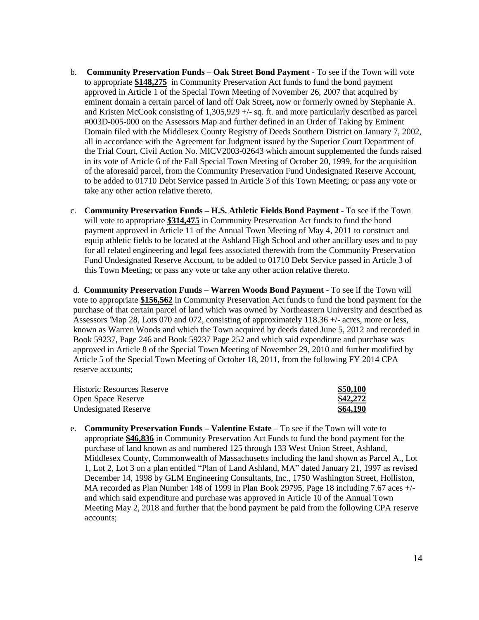- b. **Community Preservation Funds – Oak Street Bond Payment** To see if the Town will vote to appropriate **\$148,275** in Community Preservation Act funds to fund the bond payment approved in Article 1 of the Special Town Meeting of November 26, 2007 that acquired by eminent domain a certain parcel of land off Oak Street**,** now or formerly owned by Stephanie A. and Kristen McCook consisting of 1,305,929 +/- sq. ft. and more particularly described as parcel #003D-005-000 on the Assessors Map and further defined in an Order of Taking by Eminent Domain filed with the Middlesex County Registry of Deeds Southern District on January 7, 2002, all in accordance with the Agreement for Judgment issued by the Superior Court Department of the Trial Court, Civil Action No. MICV2003-02643 which amount supplemented the funds raised in its vote of Article 6 of the Fall Special Town Meeting of October 20, 1999, for the acquisition of the aforesaid parcel, from the Community Preservation Fund Undesignated Reserve Account, to be added to 01710 Debt Service passed in Article 3 of this Town Meeting; or pass any vote or take any other action relative thereto.
- c. **Community Preservation Funds – H.S. Athletic Fields Bond Payment** To see if the Town will vote to appropriate **\$314,475** in Community Preservation Act funds to fund the bond payment approved in Article 11 of the Annual Town Meeting of May 4, 2011 to construct and equip athletic fields to be located at the Ashland High School and other ancillary uses and to pay for all related engineering and legal fees associated therewith from the Community Preservation Fund Undesignated Reserve Account, to be added to 01710 Debt Service passed in Article 3 of this Town Meeting; or pass any vote or take any other action relative thereto.

d. **Community Preservation Funds – Warren Woods Bond Payment** - To see if the Town will vote to appropriate **\$156,562** in Community Preservation Act funds to fund the bond payment for the purchase of that certain parcel of land which was owned by Northeastern University and described as Assessors 'Map 28, Lots 070 and 072, consisting of approximately 118.36 +/- acres, more or less, known as Warren Woods and which the Town acquired by deeds dated June 5, 2012 and recorded in Book 59237, Page 246 and Book 59237 Page 252 and which said expenditure and purchase was approved in Article 8 of the Special Town Meeting of November 29, 2010 and further modified by Article 5 of the Special Town Meeting of October 18, 2011, from the following FY 2014 CPA reserve accounts;

| <b>Historic Resources Reserve</b> | \$50,100 |
|-----------------------------------|----------|
| <b>Open Space Reserve</b>         | \$42,272 |
| <b>Undesignated Reserve</b>       | \$64,190 |

e. **Community Preservation Funds – Valentine Estate** – To see if the Town will vote to appropriate **\$46,836** in Community Preservation Act Funds to fund the bond payment for the purchase of land known as and numbered 125 through 133 West Union Street, Ashland, Middlesex County, Commonwealth of Massachusetts including the land shown as Parcel A., Lot 1, Lot 2, Lot 3 on a plan entitled "Plan of Land Ashland, MA" dated January 21, 1997 as revised December 14, 1998 by GLM Engineering Consultants, Inc., 1750 Washington Street, Holliston, MA recorded as Plan Number 148 of 1999 in Plan Book 29795, Page 18 including 7.67 aces +/ and which said expenditure and purchase was approved in Article 10 of the Annual Town Meeting May 2, 2018 and further that the bond payment be paid from the following CPA reserve accounts;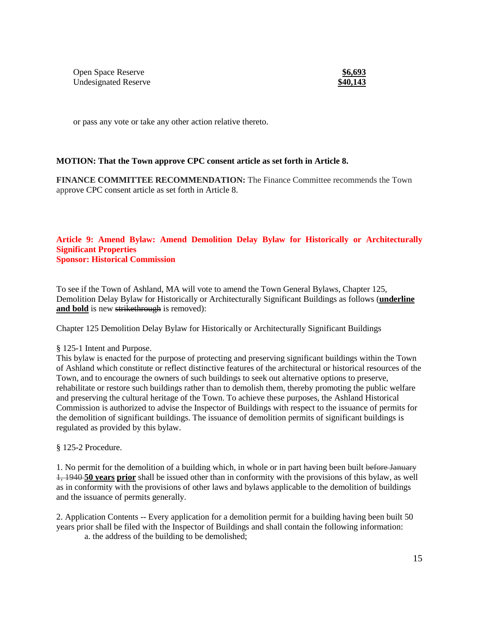**Open Space Reserve** Undesignated Reserve **\$40,143** 

or pass any vote or take any other action relative thereto.

#### **MOTION: That the Town approve CPC consent article as set forth in Article 8.**

**FINANCE COMMITTEE RECOMMENDATION:** The Finance Committee recommends the Town approve CPC consent article as set forth in Article 8.

#### **Article 9: Amend Bylaw: Amend Demolition Delay Bylaw for Historically or Architecturally Significant Properties Sponsor: Historical Commission**

To see if the Town of Ashland, MA will vote to amend the Town General Bylaws, Chapter 125, Demolition Delay Bylaw for Historically or Architecturally Significant Buildings as follows (**underline** and **bold** is new strikethrough is removed):

Chapter 125 Demolition Delay Bylaw for Historically or Architecturally Significant Buildings

#### § 125-1 Intent and Purpose.

This bylaw is enacted for the purpose of protecting and preserving significant buildings within the Town of Ashland which constitute or reflect distinctive features of the architectural or historical resources of the Town, and to encourage the owners of such buildings to seek out alternative options to preserve, rehabilitate or restore such buildings rather than to demolish them, thereby promoting the public welfare and preserving the cultural heritage of the Town. To achieve these purposes, the Ashland Historical Commission is authorized to advise the Inspector of Buildings with respect to the issuance of permits for the demolition of significant buildings. The issuance of demolition permits of significant buildings is regulated as provided by this bylaw.

§ 125-2 Procedure.

1. No permit for the demolition of a building which, in whole or in part having been built before January 1, 1940 **50 years prior** shall be issued other than in conformity with the provisions of this bylaw, as well as in conformity with the provisions of other laws and bylaws applicable to the demolition of buildings and the issuance of permits generally.

2. Application Contents -- Every application for a demolition permit for a building having been built 50 years prior shall be filed with the Inspector of Buildings and shall contain the following information: a. the address of the building to be demolished;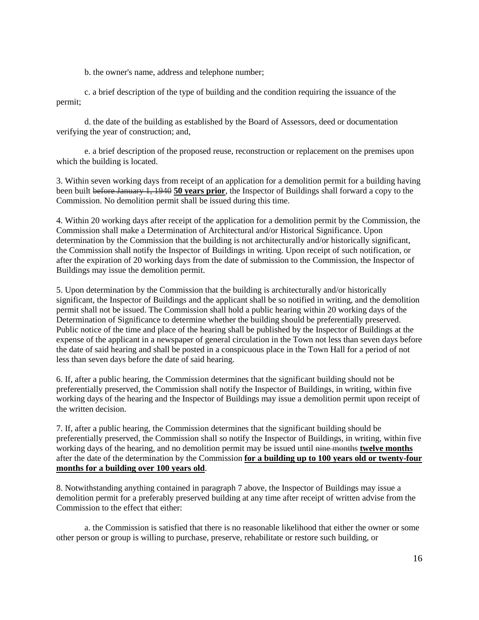b. the owner's name, address and telephone number;

c. a brief description of the type of building and the condition requiring the issuance of the permit;

d. the date of the building as established by the Board of Assessors, deed or documentation verifying the year of construction; and,

e. a brief description of the proposed reuse, reconstruction or replacement on the premises upon which the building is located.

3. Within seven working days from receipt of an application for a demolition permit for a building having been built before January 1, 1940 **50 years prior**, the Inspector of Buildings shall forward a copy to the Commission. No demolition permit shall be issued during this time.

4. Within 20 working days after receipt of the application for a demolition permit by the Commission, the Commission shall make a Determination of Architectural and/or Historical Significance. Upon determination by the Commission that the building is not architecturally and/or historically significant, the Commission shall notify the Inspector of Buildings in writing. Upon receipt of such notification, or after the expiration of 20 working days from the date of submission to the Commission, the Inspector of Buildings may issue the demolition permit.

5. Upon determination by the Commission that the building is architecturally and/or historically significant, the Inspector of Buildings and the applicant shall be so notified in writing, and the demolition permit shall not be issued. The Commission shall hold a public hearing within 20 working days of the Determination of Significance to determine whether the building should be preferentially preserved. Public notice of the time and place of the hearing shall be published by the Inspector of Buildings at the expense of the applicant in a newspaper of general circulation in the Town not less than seven days before the date of said hearing and shall be posted in a conspicuous place in the Town Hall for a period of not less than seven days before the date of said hearing.

6. If, after a public hearing, the Commission determines that the significant building should not be preferentially preserved, the Commission shall notify the Inspector of Buildings, in writing, within five working days of the hearing and the Inspector of Buildings may issue a demolition permit upon receipt of the written decision.

7. If, after a public hearing, the Commission determines that the significant building should be preferentially preserved, the Commission shall so notify the Inspector of Buildings, in writing, within five working days of the hearing, and no demolition permit may be issued until nine months **twelve months** after the date of the determination by the Commission **for a building up to 100 years old or twenty-four months for a building over 100 years old**.

8. Notwithstanding anything contained in paragraph 7 above, the Inspector of Buildings may issue a demolition permit for a preferably preserved building at any time after receipt of written advise from the Commission to the effect that either:

a. the Commission is satisfied that there is no reasonable likelihood that either the owner or some other person or group is willing to purchase, preserve, rehabilitate or restore such building, or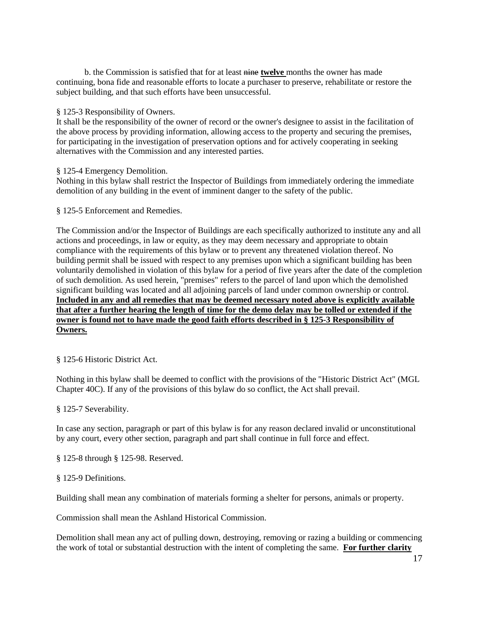b. the Commission is satisfied that for at least nine **twelve** months the owner has made continuing, bona fide and reasonable efforts to locate a purchaser to preserve, rehabilitate or restore the subject building, and that such efforts have been unsuccessful.

#### § 125-3 Responsibility of Owners.

It shall be the responsibility of the owner of record or the owner's designee to assist in the facilitation of the above process by providing information, allowing access to the property and securing the premises, for participating in the investigation of preservation options and for actively cooperating in seeking alternatives with the Commission and any interested parties.

#### § 125-4 Emergency Demolition.

Nothing in this bylaw shall restrict the Inspector of Buildings from immediately ordering the immediate demolition of any building in the event of imminent danger to the safety of the public.

§ 125-5 Enforcement and Remedies.

The Commission and/or the Inspector of Buildings are each specifically authorized to institute any and all actions and proceedings, in law or equity, as they may deem necessary and appropriate to obtain compliance with the requirements of this bylaw or to prevent any threatened violation thereof. No building permit shall be issued with respect to any premises upon which a significant building has been voluntarily demolished in violation of this bylaw for a period of five years after the date of the completion of such demolition. As used herein, "premises" refers to the parcel of land upon which the demolished significant building was located and all adjoining parcels of land under common ownership or control. **Included in any and all remedies that may be deemed necessary noted above is explicitly available** that after a further hearing the length of time for the demo delay may be tolled or extended if the **owner is found not to have made the good faith efforts described in § 125-3 Responsibility of Owners.**

§ 125-6 Historic District Act.

Nothing in this bylaw shall be deemed to conflict with the provisions of the "Historic District Act" (MGL Chapter 40C). If any of the provisions of this bylaw do so conflict, the Act shall prevail.

§ 125-7 Severability.

In case any section, paragraph or part of this bylaw is for any reason declared invalid or unconstitutional by any court, every other section, paragraph and part shall continue in full force and effect.

§ 125-8 through § 125-98. Reserved.

§ 125-9 Definitions.

Building shall mean any combination of materials forming a shelter for persons, animals or property.

Commission shall mean the Ashland Historical Commission.

Demolition shall mean any act of pulling down, destroying, removing or razing a building or commencing the work of total or substantial destruction with the intent of completing the same. **For further clarity**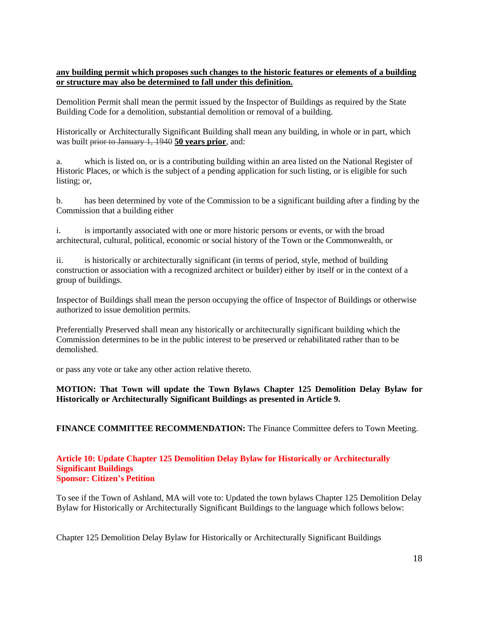# **any building permit which proposes such changes to the historic features or elements of a building or structure may also be determined to fall under this definition.**

Demolition Permit shall mean the permit issued by the Inspector of Buildings as required by the State Building Code for a demolition, substantial demolition or removal of a building.

Historically or Architecturally Significant Building shall mean any building, in whole or in part, which was built prior to January 1, 1940 **50 years prior**, and:

a. which is listed on, or is a contributing building within an area listed on the National Register of Historic Places, or which is the subject of a pending application for such listing, or is eligible for such listing; or,

b. has been determined by vote of the Commission to be a significant building after a finding by the Commission that a building either

i. is importantly associated with one or more historic persons or events, or with the broad architectural, cultural, political, economic or social history of the Town or the Commonwealth, or

ii. is historically or architecturally significant (in terms of period, style, method of building construction or association with a recognized architect or builder) either by itself or in the context of a group of buildings.

Inspector of Buildings shall mean the person occupying the office of Inspector of Buildings or otherwise authorized to issue demolition permits.

Preferentially Preserved shall mean any historically or architecturally significant building which the Commission determines to be in the public interest to be preserved or rehabilitated rather than to be demolished.

or pass any vote or take any other action relative thereto.

# **MOTION: That Town will update the Town Bylaws Chapter 125 Demolition Delay Bylaw for Historically or Architecturally Significant Buildings as presented in Article 9.**

**FINANCE COMMITTEE RECOMMENDATION:** The Finance Committee defers to Town Meeting.

#### **Article 10: Update Chapter 125 Demolition Delay Bylaw for Historically or Architecturally Significant Buildings Sponsor: Citizen's Petition**

To see if the Town of Ashland, MA will vote to: Updated the town bylaws Chapter 125 Demolition Delay Bylaw for Historically or Architecturally Significant Buildings to the language which follows below:

Chapter 125 Demolition Delay Bylaw for Historically or Architecturally Significant Buildings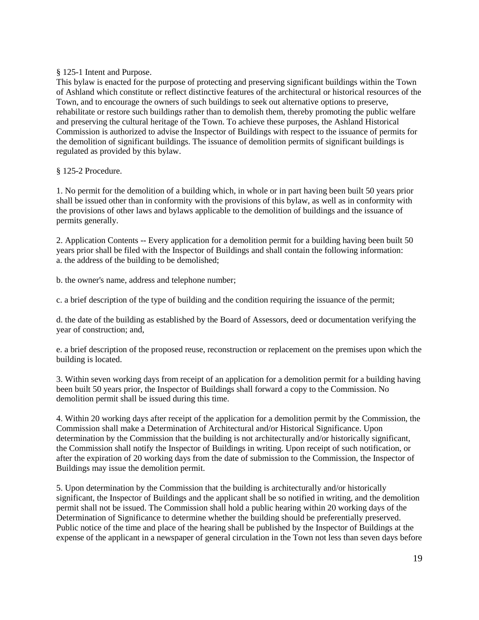§ 125-1 Intent and Purpose.

This bylaw is enacted for the purpose of protecting and preserving significant buildings within the Town of Ashland which constitute or reflect distinctive features of the architectural or historical resources of the Town, and to encourage the owners of such buildings to seek out alternative options to preserve, rehabilitate or restore such buildings rather than to demolish them, thereby promoting the public welfare and preserving the cultural heritage of the Town. To achieve these purposes, the Ashland Historical Commission is authorized to advise the Inspector of Buildings with respect to the issuance of permits for the demolition of significant buildings. The issuance of demolition permits of significant buildings is regulated as provided by this bylaw.

# § 125-2 Procedure.

1. No permit for the demolition of a building which, in whole or in part having been built 50 years prior shall be issued other than in conformity with the provisions of this bylaw, as well as in conformity with the provisions of other laws and bylaws applicable to the demolition of buildings and the issuance of permits generally.

2. Application Contents -- Every application for a demolition permit for a building having been built 50 years prior shall be filed with the Inspector of Buildings and shall contain the following information: a. the address of the building to be demolished;

b. the owner's name, address and telephone number;

c. a brief description of the type of building and the condition requiring the issuance of the permit;

d. the date of the building as established by the Board of Assessors, deed or documentation verifying the year of construction; and,

e. a brief description of the proposed reuse, reconstruction or replacement on the premises upon which the building is located.

3. Within seven working days from receipt of an application for a demolition permit for a building having been built 50 years prior, the Inspector of Buildings shall forward a copy to the Commission. No demolition permit shall be issued during this time.

4. Within 20 working days after receipt of the application for a demolition permit by the Commission, the Commission shall make a Determination of Architectural and/or Historical Significance. Upon determination by the Commission that the building is not architecturally and/or historically significant, the Commission shall notify the Inspector of Buildings in writing. Upon receipt of such notification, or after the expiration of 20 working days from the date of submission to the Commission, the Inspector of Buildings may issue the demolition permit.

5. Upon determination by the Commission that the building is architecturally and/or historically significant, the Inspector of Buildings and the applicant shall be so notified in writing, and the demolition permit shall not be issued. The Commission shall hold a public hearing within 20 working days of the Determination of Significance to determine whether the building should be preferentially preserved. Public notice of the time and place of the hearing shall be published by the Inspector of Buildings at the expense of the applicant in a newspaper of general circulation in the Town not less than seven days before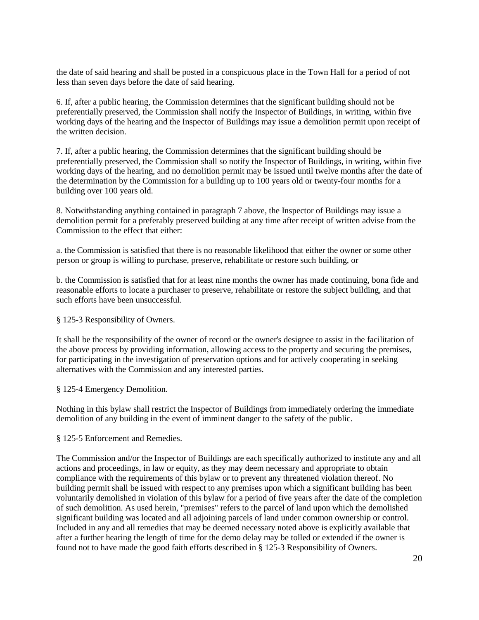the date of said hearing and shall be posted in a conspicuous place in the Town Hall for a period of not less than seven days before the date of said hearing.

6. If, after a public hearing, the Commission determines that the significant building should not be preferentially preserved, the Commission shall notify the Inspector of Buildings, in writing, within five working days of the hearing and the Inspector of Buildings may issue a demolition permit upon receipt of the written decision.

7. If, after a public hearing, the Commission determines that the significant building should be preferentially preserved, the Commission shall so notify the Inspector of Buildings, in writing, within five working days of the hearing, and no demolition permit may be issued until twelve months after the date of the determination by the Commission for a building up to 100 years old or twenty-four months for a building over 100 years old.

8. Notwithstanding anything contained in paragraph 7 above, the Inspector of Buildings may issue a demolition permit for a preferably preserved building at any time after receipt of written advise from the Commission to the effect that either:

a. the Commission is satisfied that there is no reasonable likelihood that either the owner or some other person or group is willing to purchase, preserve, rehabilitate or restore such building, or

b. the Commission is satisfied that for at least nine months the owner has made continuing, bona fide and reasonable efforts to locate a purchaser to preserve, rehabilitate or restore the subject building, and that such efforts have been unsuccessful.

§ 125-3 Responsibility of Owners.

It shall be the responsibility of the owner of record or the owner's designee to assist in the facilitation of the above process by providing information, allowing access to the property and securing the premises, for participating in the investigation of preservation options and for actively cooperating in seeking alternatives with the Commission and any interested parties.

§ 125-4 Emergency Demolition.

Nothing in this bylaw shall restrict the Inspector of Buildings from immediately ordering the immediate demolition of any building in the event of imminent danger to the safety of the public.

§ 125-5 Enforcement and Remedies.

The Commission and/or the Inspector of Buildings are each specifically authorized to institute any and all actions and proceedings, in law or equity, as they may deem necessary and appropriate to obtain compliance with the requirements of this bylaw or to prevent any threatened violation thereof. No building permit shall be issued with respect to any premises upon which a significant building has been voluntarily demolished in violation of this bylaw for a period of five years after the date of the completion of such demolition. As used herein, "premises" refers to the parcel of land upon which the demolished significant building was located and all adjoining parcels of land under common ownership or control. Included in any and all remedies that may be deemed necessary noted above is explicitly available that after a further hearing the length of time for the demo delay may be tolled or extended if the owner is found not to have made the good faith efforts described in § 125-3 Responsibility of Owners.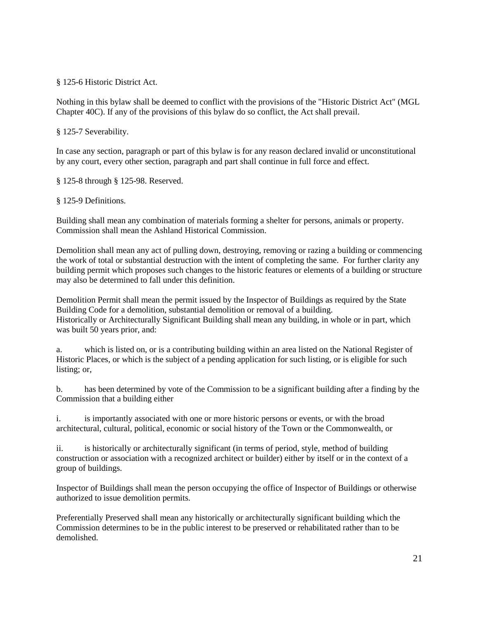§ 125-6 Historic District Act.

Nothing in this bylaw shall be deemed to conflict with the provisions of the "Historic District Act" (MGL Chapter 40C). If any of the provisions of this bylaw do so conflict, the Act shall prevail.

§ 125-7 Severability.

In case any section, paragraph or part of this bylaw is for any reason declared invalid or unconstitutional by any court, every other section, paragraph and part shall continue in full force and effect.

§ 125-8 through § 125-98. Reserved.

§ 125-9 Definitions.

Building shall mean any combination of materials forming a shelter for persons, animals or property. Commission shall mean the Ashland Historical Commission.

Demolition shall mean any act of pulling down, destroying, removing or razing a building or commencing the work of total or substantial destruction with the intent of completing the same. For further clarity any building permit which proposes such changes to the historic features or elements of a building or structure may also be determined to fall under this definition.

Demolition Permit shall mean the permit issued by the Inspector of Buildings as required by the State Building Code for a demolition, substantial demolition or removal of a building. Historically or Architecturally Significant Building shall mean any building, in whole or in part, which was built 50 years prior, and:

a. which is listed on, or is a contributing building within an area listed on the National Register of Historic Places, or which is the subject of a pending application for such listing, or is eligible for such listing; or,

b. has been determined by vote of the Commission to be a significant building after a finding by the Commission that a building either

i. is importantly associated with one or more historic persons or events, or with the broad architectural, cultural, political, economic or social history of the Town or the Commonwealth, or

ii. is historically or architecturally significant (in terms of period, style, method of building construction or association with a recognized architect or builder) either by itself or in the context of a group of buildings.

Inspector of Buildings shall mean the person occupying the office of Inspector of Buildings or otherwise authorized to issue demolition permits.

Preferentially Preserved shall mean any historically or architecturally significant building which the Commission determines to be in the public interest to be preserved or rehabilitated rather than to be demolished.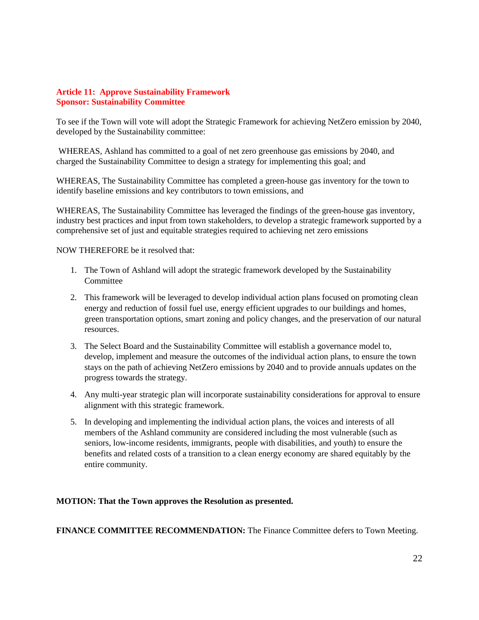# **Article 11: Approve Sustainability Framework Sponsor: Sustainability Committee**

To see if the Town will vote will adopt the Strategic Framework for achieving NetZero emission by 2040, developed by the Sustainability committee:

WHEREAS, Ashland has committed to a goal of net zero greenhouse gas emissions by 2040, and charged the Sustainability Committee to design a strategy for implementing this goal; and

WHEREAS, The Sustainability Committee has completed a green-house gas inventory for the town to identify baseline emissions and key contributors to town emissions, and

WHEREAS, The Sustainability Committee has leveraged the findings of the green-house gas inventory, industry best practices and input from town stakeholders, to develop a strategic framework supported by a comprehensive set of just and equitable strategies required to achieving net zero emissions

NOW THEREFORE be it resolved that:

- 1. The Town of Ashland will adopt the strategic framework developed by the Sustainability Committee
- 2. This framework will be leveraged to develop individual action plans focused on promoting clean energy and reduction of fossil fuel use, energy efficient upgrades to our buildings and homes, green transportation options, smart zoning and policy changes, and the preservation of our natural resources.
- 3. The Select Board and the Sustainability Committee will establish a governance model to, develop, implement and measure the outcomes of the individual action plans, to ensure the town stays on the path of achieving NetZero emissions by 2040 and to provide annuals updates on the progress towards the strategy.
- 4. Any multi-year strategic plan will incorporate sustainability considerations for approval to ensure alignment with this strategic framework.
- 5. In developing and implementing the individual action plans, the voices and interests of all members of the Ashland community are considered including the most vulnerable (such as seniors, low-income residents, immigrants, people with disabilities, and youth) to ensure the benefits and related costs of a transition to a clean energy economy are shared equitably by the entire community.

# **MOTION: That the Town approves the Resolution as presented.**

**FINANCE COMMITTEE RECOMMENDATION:** The Finance Committee defers to Town Meeting.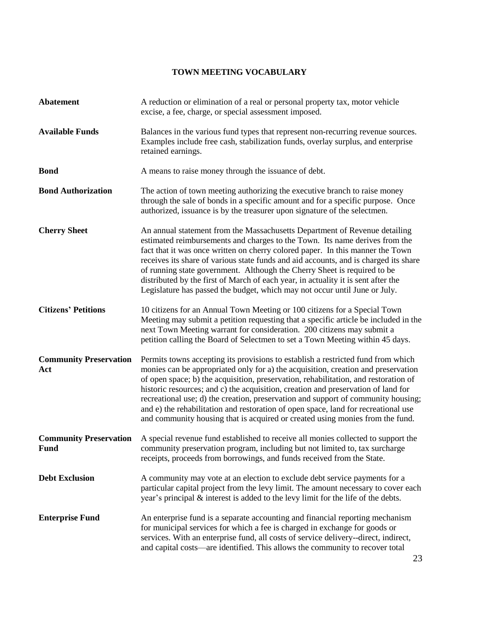# **TOWN MEETING VOCABULARY**

| <b>Abatement</b>                             | A reduction or elimination of a real or personal property tax, motor vehicle<br>excise, a fee, charge, or special assessment imposed.                                                                                                                                                                                                                                                                                                                                                                                                                                                                         |
|----------------------------------------------|---------------------------------------------------------------------------------------------------------------------------------------------------------------------------------------------------------------------------------------------------------------------------------------------------------------------------------------------------------------------------------------------------------------------------------------------------------------------------------------------------------------------------------------------------------------------------------------------------------------|
| <b>Available Funds</b>                       | Balances in the various fund types that represent non-recurring revenue sources.<br>Examples include free cash, stabilization funds, overlay surplus, and enterprise<br>retained earnings.                                                                                                                                                                                                                                                                                                                                                                                                                    |
| <b>Bond</b>                                  | A means to raise money through the issuance of debt.                                                                                                                                                                                                                                                                                                                                                                                                                                                                                                                                                          |
| <b>Bond Authorization</b>                    | The action of town meeting authorizing the executive branch to raise money<br>through the sale of bonds in a specific amount and for a specific purpose. Once<br>authorized, issuance is by the treasurer upon signature of the selectmen.                                                                                                                                                                                                                                                                                                                                                                    |
| <b>Cherry Sheet</b>                          | An annual statement from the Massachusetts Department of Revenue detailing<br>estimated reimbursements and charges to the Town. Its name derives from the<br>fact that it was once written on cherry colored paper. In this manner the Town<br>receives its share of various state funds and aid accounts, and is charged its share<br>of running state government. Although the Cherry Sheet is required to be<br>distributed by the first of March of each year, in actuality it is sent after the<br>Legislature has passed the budget, which may not occur until June or July.                            |
| <b>Citizens' Petitions</b>                   | 10 citizens for an Annual Town Meeting or 100 citizens for a Special Town<br>Meeting may submit a petition requesting that a specific article be included in the<br>next Town Meeting warrant for consideration. 200 citizens may submit a<br>petition calling the Board of Selectmen to set a Town Meeting within 45 days.                                                                                                                                                                                                                                                                                   |
| <b>Community Preservation</b><br>Act         | Permits towns accepting its provisions to establish a restricted fund from which<br>monies can be appropriated only for a) the acquisition, creation and preservation<br>of open space; b) the acquisition, preservation, rehabilitation, and restoration of<br>historic resources; and c) the acquisition, creation and preservation of land for<br>recreational use; d) the creation, preservation and support of community housing;<br>and e) the rehabilitation and restoration of open space, land for recreational use<br>and community housing that is acquired or created using monies from the fund. |
| <b>Community Preservation</b><br><b>Fund</b> | A special revenue fund established to receive all monies collected to support the<br>community preservation program, including but not limited to, tax surcharge<br>receipts, proceeds from borrowings, and funds received from the State.                                                                                                                                                                                                                                                                                                                                                                    |
| <b>Debt Exclusion</b>                        | A community may vote at an election to exclude debt service payments for a<br>particular capital project from the levy limit. The amount necessary to cover each<br>year's principal & interest is added to the levy limit for the life of the debts.                                                                                                                                                                                                                                                                                                                                                         |
| <b>Enterprise Fund</b>                       | An enterprise fund is a separate accounting and financial reporting mechanism<br>for municipal services for which a fee is charged in exchange for goods or<br>services. With an enterprise fund, all costs of service delivery--direct, indirect,<br>and capital costs-are identified. This allows the community to recover total                                                                                                                                                                                                                                                                            |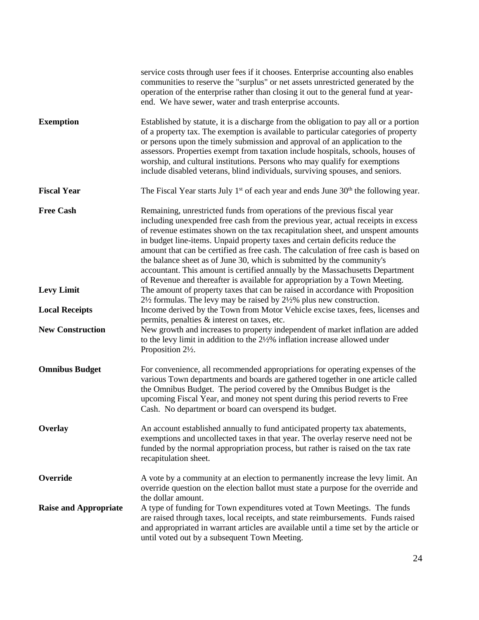|                              | service costs through user fees if it chooses. Enterprise accounting also enables<br>communities to reserve the "surplus" or net assets unrestricted generated by the<br>operation of the enterprise rather than closing it out to the general fund at year-<br>end. We have sewer, water and trash enterprise accounts.                                                                                                                                                                                                                                                                                                                                         |
|------------------------------|------------------------------------------------------------------------------------------------------------------------------------------------------------------------------------------------------------------------------------------------------------------------------------------------------------------------------------------------------------------------------------------------------------------------------------------------------------------------------------------------------------------------------------------------------------------------------------------------------------------------------------------------------------------|
| <b>Exemption</b>             | Established by statute, it is a discharge from the obligation to pay all or a portion<br>of a property tax. The exemption is available to particular categories of property<br>or persons upon the timely submission and approval of an application to the<br>assessors. Properties exempt from taxation include hospitals, schools, houses of<br>worship, and cultural institutions. Persons who may qualify for exemptions<br>include disabled veterans, blind individuals, surviving spouses, and seniors.                                                                                                                                                    |
| <b>Fiscal Year</b>           | The Fiscal Year starts July $1st$ of each year and ends June $30th$ the following year.                                                                                                                                                                                                                                                                                                                                                                                                                                                                                                                                                                          |
| <b>Free Cash</b>             | Remaining, unrestricted funds from operations of the previous fiscal year<br>including unexpended free cash from the previous year, actual receipts in excess<br>of revenue estimates shown on the tax recapitulation sheet, and unspent amounts<br>in budget line-items. Unpaid property taxes and certain deficits reduce the<br>amount that can be certified as free cash. The calculation of free cash is based on<br>the balance sheet as of June 30, which is submitted by the community's<br>accountant. This amount is certified annually by the Massachusetts Department<br>of Revenue and thereafter is available for appropriation by a Town Meeting. |
| <b>Levy Limit</b>            | The amount of property taxes that can be raised in accordance with Proposition<br>$2\frac{1}{2}$ formulas. The levy may be raised by $2\frac{1}{2}\%$ plus new construction.                                                                                                                                                                                                                                                                                                                                                                                                                                                                                     |
| <b>Local Receipts</b>        | Income derived by the Town from Motor Vehicle excise taxes, fees, licenses and<br>permits, penalties & interest on taxes, etc.                                                                                                                                                                                                                                                                                                                                                                                                                                                                                                                                   |
| <b>New Construction</b>      | New growth and increases to property independent of market inflation are added<br>to the levy limit in addition to the $2\frac{1}{2}\%$ inflation increase allowed under<br>Proposition 2½.                                                                                                                                                                                                                                                                                                                                                                                                                                                                      |
| <b>Omnibus Budget</b>        | For convenience, all recommended appropriations for operating expenses of the<br>various Town departments and boards are gathered together in one article called<br>the Omnibus Budget. The period covered by the Omnibus Budget is the<br>upcoming Fiscal Year, and money not spent during this period reverts to Free<br>Cash. No department or board can overspend its budget.                                                                                                                                                                                                                                                                                |
| Overlay                      | An account established annually to fund anticipated property tax abatements,<br>exemptions and uncollected taxes in that year. The overlay reserve need not be<br>funded by the normal appropriation process, but rather is raised on the tax rate<br>recapitulation sheet.                                                                                                                                                                                                                                                                                                                                                                                      |
| Override                     | A vote by a community at an election to permanently increase the levy limit. An<br>override question on the election ballot must state a purpose for the override and<br>the dollar amount.                                                                                                                                                                                                                                                                                                                                                                                                                                                                      |
| <b>Raise and Appropriate</b> | A type of funding for Town expenditures voted at Town Meetings. The funds<br>are raised through taxes, local receipts, and state reimbursements. Funds raised<br>and appropriated in warrant articles are available until a time set by the article or<br>until voted out by a subsequent Town Meeting.                                                                                                                                                                                                                                                                                                                                                          |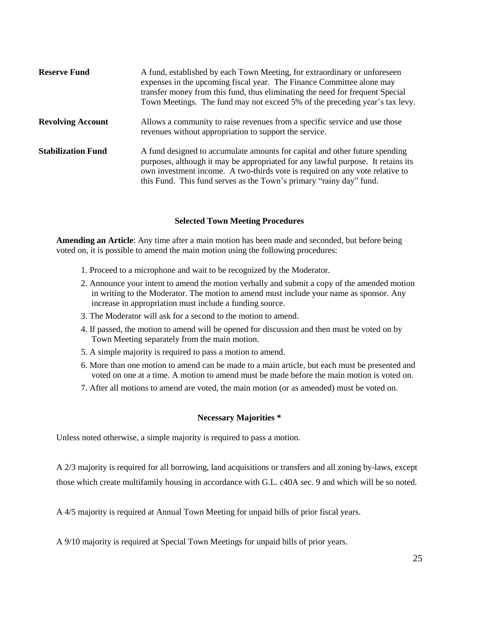| <b>Reserve Fund</b>       | A fund, established by each Town Meeting, for extraordinary or unforeseen<br>expenses in the upcoming fiscal year. The Finance Committee alone may<br>transfer money from this fund, thus eliminating the need for frequent Special<br>Town Meetings. The fund may not exceed 5% of the preceding year's tax levy.     |
|---------------------------|------------------------------------------------------------------------------------------------------------------------------------------------------------------------------------------------------------------------------------------------------------------------------------------------------------------------|
| <b>Revolving Account</b>  | Allows a community to raise revenues from a specific service and use those<br>revenues without appropriation to support the service.                                                                                                                                                                                   |
| <b>Stabilization Fund</b> | A fund designed to accumulate amounts for capital and other future spending<br>purposes, although it may be appropriated for any lawful purpose. It retains its<br>own investment income. A two-thirds vote is required on any vote relative to<br>this Fund. This fund serves as the Town's primary "rainy day" fund. |

#### **Selected Town Meeting Procedures**

**Amending an Article**: Any time after a main motion has been made and seconded, but before being voted on, it is possible to amend the main motion using the following procedures:

- 1. Proceed to a microphone and wait to be recognized by the Moderator.
- 2. Announce your intent to amend the motion verbally and submit a copy of the amended motion in writing to the Moderator. The motion to amend must include your name as sponsor. Any increase in appropriation must include a funding source.
- 3. The Moderator will ask for a second to the motion to amend.
- 4. If passed, the motion to amend will be opened for discussion and then must be voted on by Town Meeting separately from the main motion.
- 5. A simple majority is required to pass a motion to amend.
- 6. More than one motion to amend can be made to a main article, but each must be presented and voted on one at a time. A motion to amend must be made before the main motion is voted on.
- 7. After all motions to amend are voted, the main motion (or as amended) must be voted on.

#### **Necessary Majorities \***

Unless noted otherwise, a simple majority is required to pass a motion.

A 2/3 majority is required for all borrowing, land acquisitions or transfers and all zoning by-laws, except those which create multifamily housing in accordance with G.L. c40A sec. 9 and which will be so noted.

A 4/5 majority is required at Annual Town Meeting for unpaid bills of prior fiscal years.

A 9/10 majority is required at Special Town Meetings for unpaid bills of prior years.